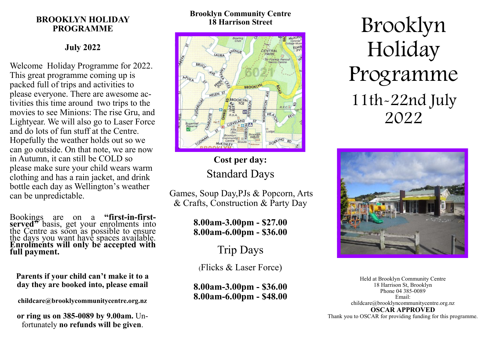### **BROOKLYN HOLIDAY PROGRAMME**

## **July 2022**

Welcome Holiday Programme for 2022. This great programme coming up is packed full of trips and activities to please everyone. There are awesome activities this time around two trips to the movies to see Minions: The rise Gru, and Lightyear. We will also go to Laser Force and do lots of fun stuff at the Centre. Hopefully the weather holds out so we can go outside. On that note, we are now in Autumn, it can still be COLD so please make sure your child wears warm clothing and has a rain jacket, and drink bottle each day as Wellington's weather can be unpredictable.

Bookings are on a **"first-in-firstserved"** basis, get your enrolments into the Centre as soon as possible to ensure the days you want have spaces available. **Enrolments will only be accepted with full payment.**

#### **Parents if your child can't make it to a day they are booked into, please email**

**childcare@brooklycommunitycentre.org.nz**

**or ring us on 385-0089 by 9.00am.** Unfortunately **no refunds will be given**.

#### **Brooklyn Community Centre 18 Harrison Street**



# **Cost per day:** Standard Days

Games, Soup Day,PJs & Popcorn, Arts & Crafts, Construction & Party Day

> **8.00am-3.00pm - \$27.00 8.00am-6.00pm - \$36.00**

> > Trip Days

(Flicks & Laser Force)

**8.00am-3.00pm - \$36.00 8.00am-6.00pm - \$48.00**

Brooklyn Holiday Programme 11th-22nd July 2022



Held at Brooklyn Community Centre 18 Harrison St, Brooklyn Phone 04 385-0089 Email: childcare@brooklyncommunitycentre.org.nz **OSCAR APPROVED** Thank you to OSCAR for providing funding for this programme.